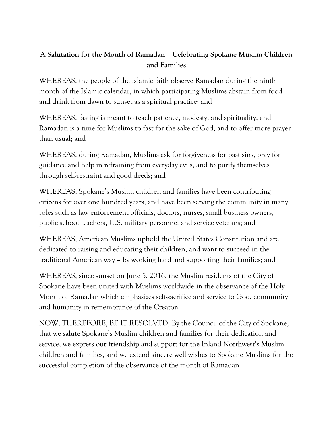## **A Salutation for the Month of Ramadan – Celebrating Spokane Muslim Children and Families**

WHEREAS, the people of the Islamic faith observe Ramadan during the ninth month of the Islamic calendar, in which participating Muslims abstain from food and drink from dawn to sunset as a spiritual practice; and

WHEREAS, fasting is meant to teach patience, modesty, and spirituality, and Ramadan is a time for Muslims to fast for the sake of God, and to offer more prayer than usual; and

WHEREAS, during Ramadan, Muslims ask for forgiveness for past sins, pray for guidance and help in refraining from everyday evils, and to purify themselves through self-restraint and good deeds; and

WHEREAS, Spokane's Muslim children and families have been contributing citizens for over one hundred years, and have been serving the community in many roles such as law enforcement officials, doctors, nurses, small business owners, public school teachers, U.S. military personnel and service veterans; and

WHEREAS, American Muslims uphold the United States Constitution and are dedicated to raising and educating their children, and want to succeed in the traditional American way – by working hard and supporting their families; and

WHEREAS, since sunset on June 5, 2016, the Muslim residents of the City of Spokane have been united with Muslims worldwide in the observance of the Holy Month of Ramadan which emphasizes self-sacrifice and service to God, community and humanity in remembrance of the Creator;

NOW, THEREFORE, BE IT RESOLVED, By the Council of the City of Spokane, that we salute Spokane's Muslim children and families for their dedication and service, we express our friendship and support for the Inland Northwest's Muslim children and families, and we extend sincere well wishes to Spokane Muslims for the successful completion of the observance of the month of Ramadan